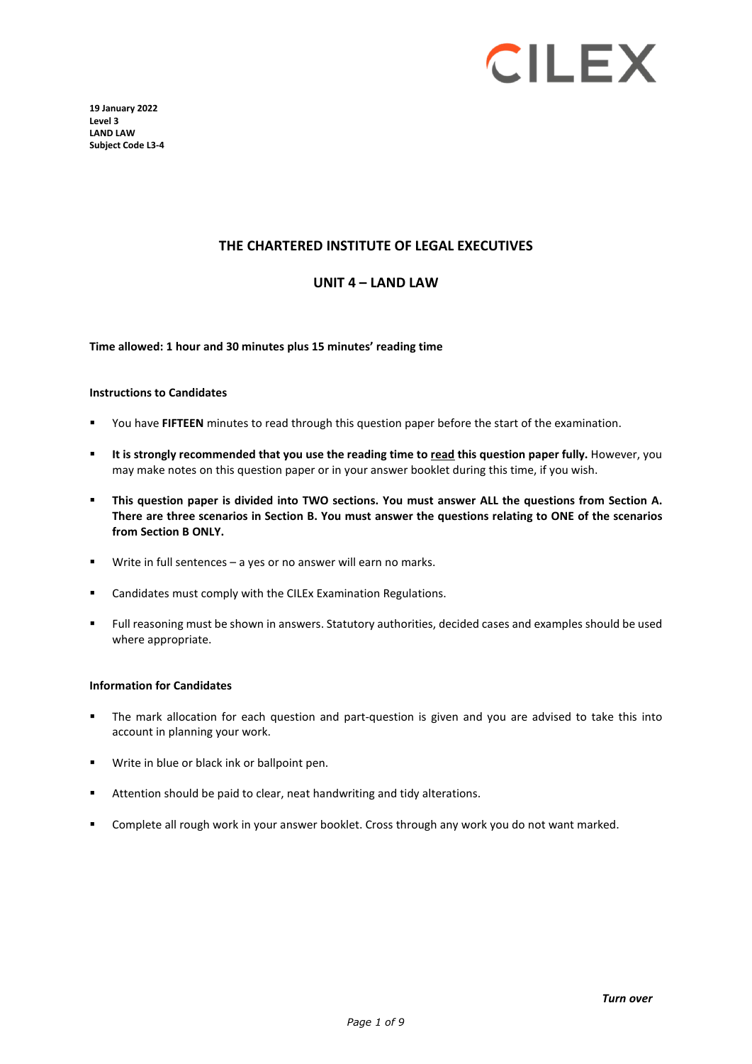

**19 January 2022 Level 3 LAND LAW Subject Code L3-4**

#### **THE CHARTERED INSTITUTE OF LEGAL EXECUTIVES**

#### **UNIT 4 – LAND LAW**

**Time allowed: 1 hour and 30 minutes plus 15 minutes' reading time**

#### **Instructions to Candidates**

- You have **FIFTEEN** minutes to read through this question paper before the start of the examination.
- **It is strongly recommended that you use the reading time to read this question paper fully.** However, you may make notes on this question paper or in your answer booklet during this time, if you wish.
- **This question paper is divided into TWO sections. You must answer ALL the questions from Section A. There are three scenarios in Section B. You must answer the questions relating to ONE of the scenarios from Section B ONLY.**
- Write in full sentences a yes or no answer will earn no marks.
- Candidates must comply with the CILEx Examination Regulations.
- Full reasoning must be shown in answers. Statutory authorities, decided cases and examples should be used where appropriate.

#### **Information for Candidates**

- The mark allocation for each question and part-question is given and you are advised to take this into account in planning your work.
- Write in blue or black ink or ballpoint pen.
- Attention should be paid to clear, neat handwriting and tidy alterations.
- Complete all rough work in your answer booklet. Cross through any work you do not want marked.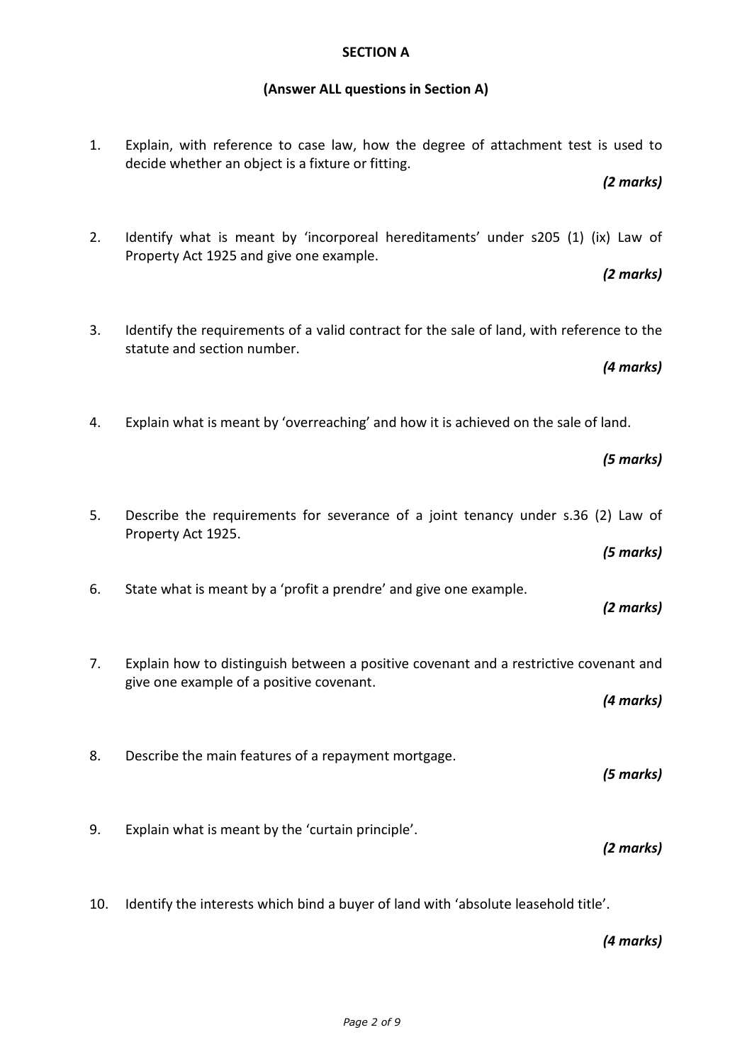### **SECTION A**

# **(Answer ALL questions in Section A)**

| Explain, with reference to case law, how the degree of attachment test is used to<br>1.<br>decide whether an object is a fixture or fitting.<br>(2 marks) |  |
|-----------------------------------------------------------------------------------------------------------------------------------------------------------|--|
| 2.<br>Identify what is meant by 'incorporeal hereditaments' under s205 (1) (ix) Law of<br>Property Act 1925 and give one example.<br>(2 marks)            |  |
| 3.<br>Identify the requirements of a valid contract for the sale of land, with reference to the<br>statute and section number.<br>(4 marks)               |  |
| Explain what is meant by 'overreaching' and how it is achieved on the sale of land.<br>4.<br>(5 marks)                                                    |  |
| 5.<br>Describe the requirements for severance of a joint tenancy under s.36 (2) Law of<br>Property Act 1925.<br>(5 marks)                                 |  |
| State what is meant by a 'profit a prendre' and give one example.<br>6.<br>(2 marks)                                                                      |  |
| Explain how to distinguish between a positive covenant and a restrictive covenant and<br>7.<br>give one example of a positive covenant.<br>(4 marks)      |  |
| 8.<br>Describe the main features of a repayment mortgage.<br>(5 marks)                                                                                    |  |
| 9.<br>Explain what is meant by the 'curtain principle'.<br>(2 marks)                                                                                      |  |
| Identify the interests which bind a buyer of land with 'absolute leasehold title'.<br>10.                                                                 |  |

*(4 marks)*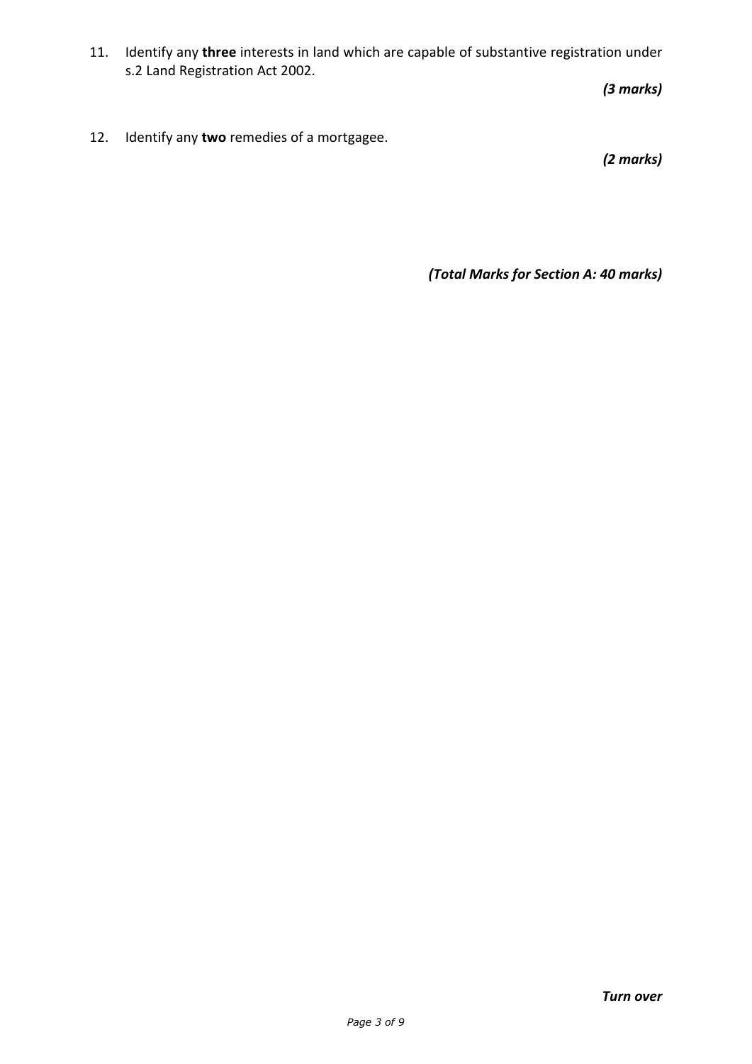11. Identify any **three** interests in land which are capable of substantive registration under s.2 Land Registration Act 2002.

*(3 marks)*

12. Identify any **two** remedies of a mortgagee.

*(2 marks)*

*(Total Marks for Section A: 40 marks)*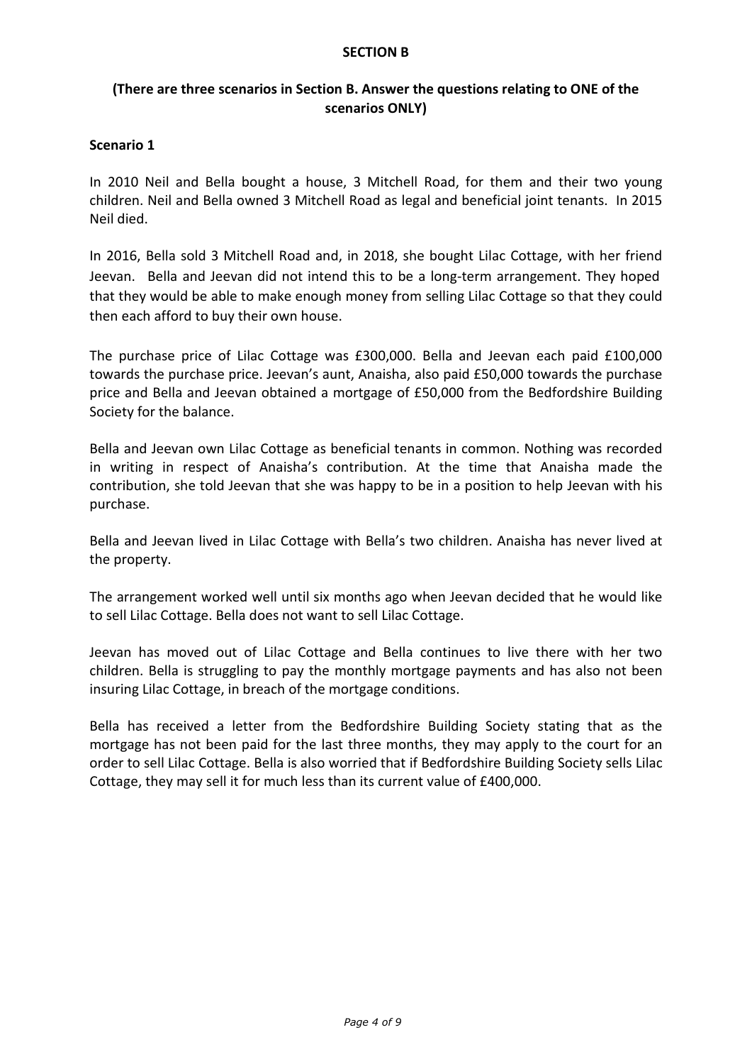#### **SECTION B**

## **(There are three scenarios in Section B. Answer the questions relating to ONE of the scenarios ONLY)**

### **Scenario 1**

In 2010 Neil and Bella bought a house, 3 Mitchell Road, for them and their two young children. Neil and Bella owned 3 Mitchell Road as legal and beneficial joint tenants. In 2015 Neil died.

In 2016, Bella sold 3 Mitchell Road and, in 2018, she bought Lilac Cottage, with her friend Jeevan. Bella and Jeevan did not intend this to be a long-term arrangement. They hoped that they would be able to make enough money from selling Lilac Cottage so that they could then each afford to buy their own house.

The purchase price of Lilac Cottage was £300,000. Bella and Jeevan each paid £100,000 towards the purchase price. Jeevan's aunt, Anaisha, also paid £50,000 towards the purchase price and Bella and Jeevan obtained a mortgage of £50,000 from the Bedfordshire Building Society for the balance.

Bella and Jeevan own Lilac Cottage as beneficial tenants in common. Nothing was recorded in writing in respect of Anaisha's contribution. At the time that Anaisha made the contribution, she told Jeevan that she was happy to be in a position to help Jeevan with his purchase.

Bella and Jeevan lived in Lilac Cottage with Bella's two children. Anaisha has never lived at the property.

The arrangement worked well until six months ago when Jeevan decided that he would like to sell Lilac Cottage. Bella does not want to sell Lilac Cottage.

Jeevan has moved out of Lilac Cottage and Bella continues to live there with her two children. Bella is struggling to pay the monthly mortgage payments and has also not been insuring Lilac Cottage, in breach of the mortgage conditions.

Bella has received a letter from the Bedfordshire Building Society stating that as the mortgage has not been paid for the last three months, they may apply to the court for an order to sell Lilac Cottage. Bella is also worried that if Bedfordshire Building Society sells Lilac Cottage, they may sell it for much less than its current value of £400,000.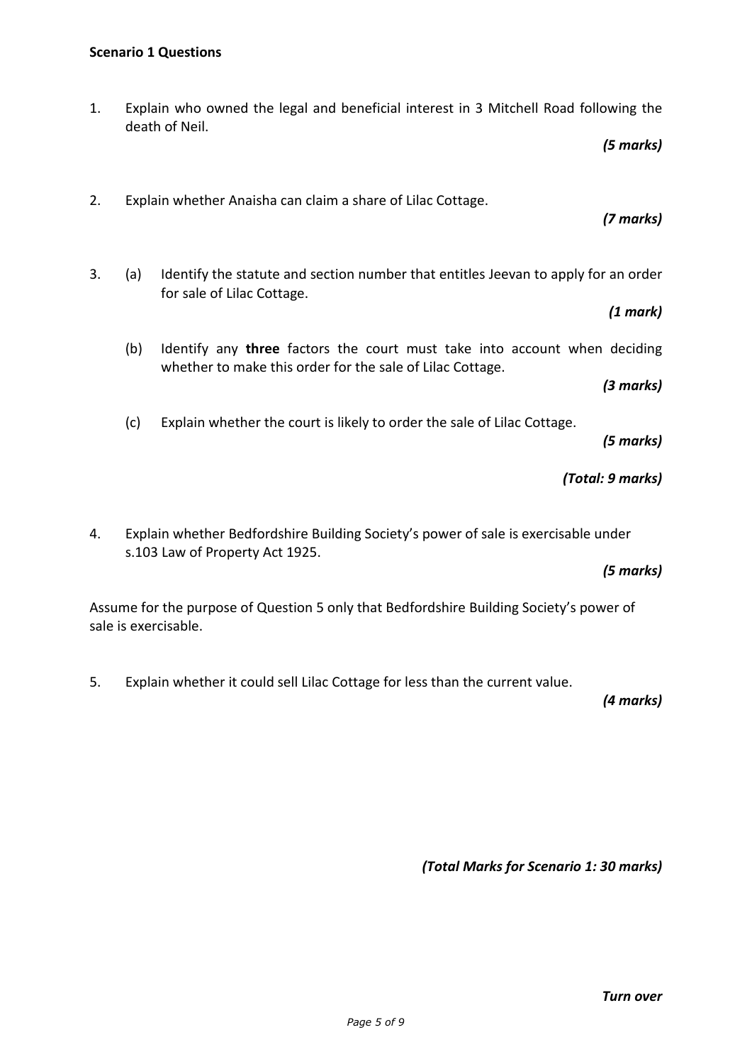death of Neil.

sale is exercisable.

4. Explain whether Bedfordshire Building Society's power of sale is exercisable under s.103 Law of Property Act 1925. *(5 marks)*  Assume for the purpose of Question 5 only that Bedfordshire Building Society's power of 5. Explain whether it could sell Lilac Cottage for less than the current value. *(4 marks)* 

3. (a) Identify the statute and section number that entitles Jeevan to apply for an order for sale of Lilac Cottage. *(1 mark)* 

1. Explain who owned the legal and beneficial interest in 3 Mitchell Road following the

2. Explain whether Anaisha can claim a share of Lilac Cottage.

- (b) Identify any **three** factors the court must take into account when deciding
	- whether to make this order for the sale of Lilac Cottage. *(3 marks)*
- (c) Explain whether the court is likely to order the sale of Lilac Cottage.

*(5 marks)*

## *(Total: 9 marks)*

*(Total Marks for Scenario 1: 30 marks)*

*(5 marks)*

*(7 marks)*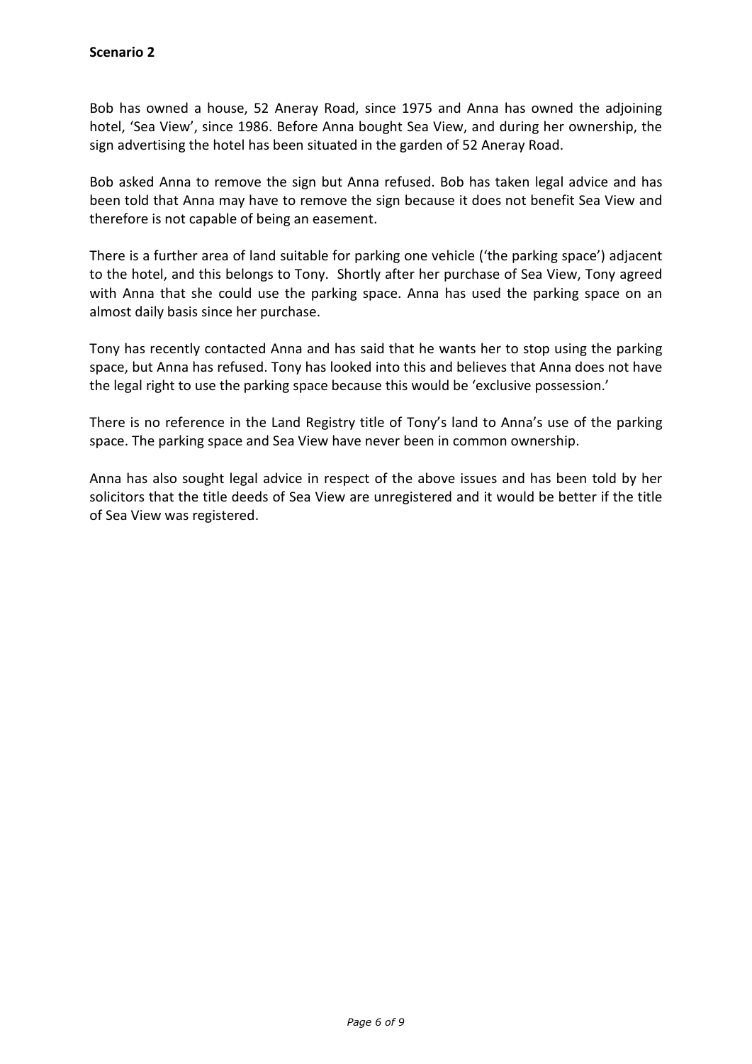Bob has owned a house, 52 Aneray Road, since 1975 and Anna has owned the adjoining hotel, 'Sea View', since 1986. Before Anna bought Sea View, and during her ownership, the sign advertising the hotel has been situated in the garden of 52 Aneray Road.

Bob asked Anna to remove the sign but Anna refused. Bob has taken legal advice and has been told that Anna may have to remove the sign because it does not benefit Sea View and therefore is not capable of being an easement.

There is a further area of land suitable for parking one vehicle ('the parking space') adjacent to the hotel, and this belongs to Tony. Shortly after her purchase of Sea View, Tony agreed with Anna that she could use the parking space. Anna has used the parking space on an almost daily basis since her purchase.

Tony has recently contacted Anna and has said that he wants her to stop using the parking space, but Anna has refused. Tony has looked into this and believes that Anna does not have the legal right to use the parking space because this would be 'exclusive possession.'

There is no reference in the Land Registry title of Tony's land to Anna's use of the parking space. The parking space and Sea View have never been in common ownership.

Anna has also sought legal advice in respect of the above issues and has been told by her solicitors that the title deeds of Sea View are unregistered and it would be better if the title of Sea View was registered.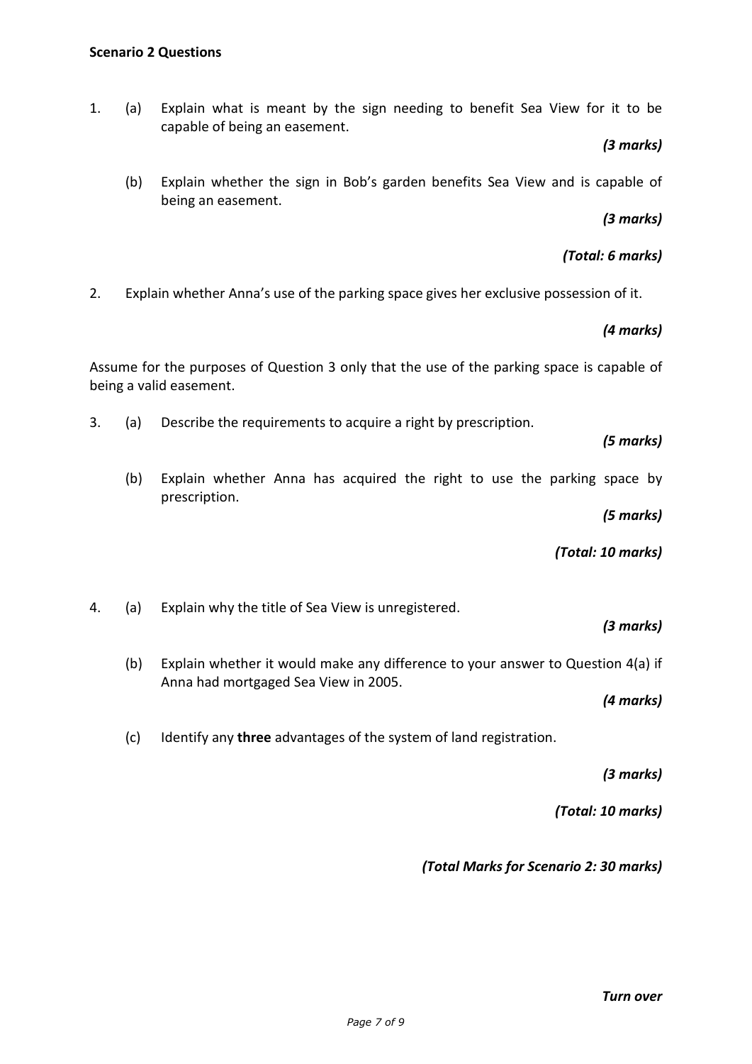1. (a) Explain what is meant by the sign needing to benefit Sea View for it to be capable of being an easement.

### *(3 marks)*

(b) Explain whether the sign in Bob's garden benefits Sea View and is capable of being an easement.

# *(3 marks)*

# *(Total: 6 marks)*

2. Explain whether Anna's use of the parking space gives her exclusive possession of it.

## *(4 marks)*

Assume for the purposes of Question 3 only that the use of the parking space is capable of being a valid easement.

3. (a) Describe the requirements to acquire a right by prescription.

### *(5 marks)*

(b) Explain whether Anna has acquired the right to use the parking space by prescription.

*(5 marks)*

*(Total: 10 marks)* 

4. (a) Explain why the title of Sea View is unregistered.

### *(3 marks)*

(b) Explain whether it would make any difference to your answer to Question 4(a) if Anna had mortgaged Sea View in 2005.

*(4 marks)* 

(c) Identify any **three** advantages of the system of land registration.

*(3 marks)*

*(Total: 10 marks)* 

*(Total Marks for Scenario 2: 30 marks)*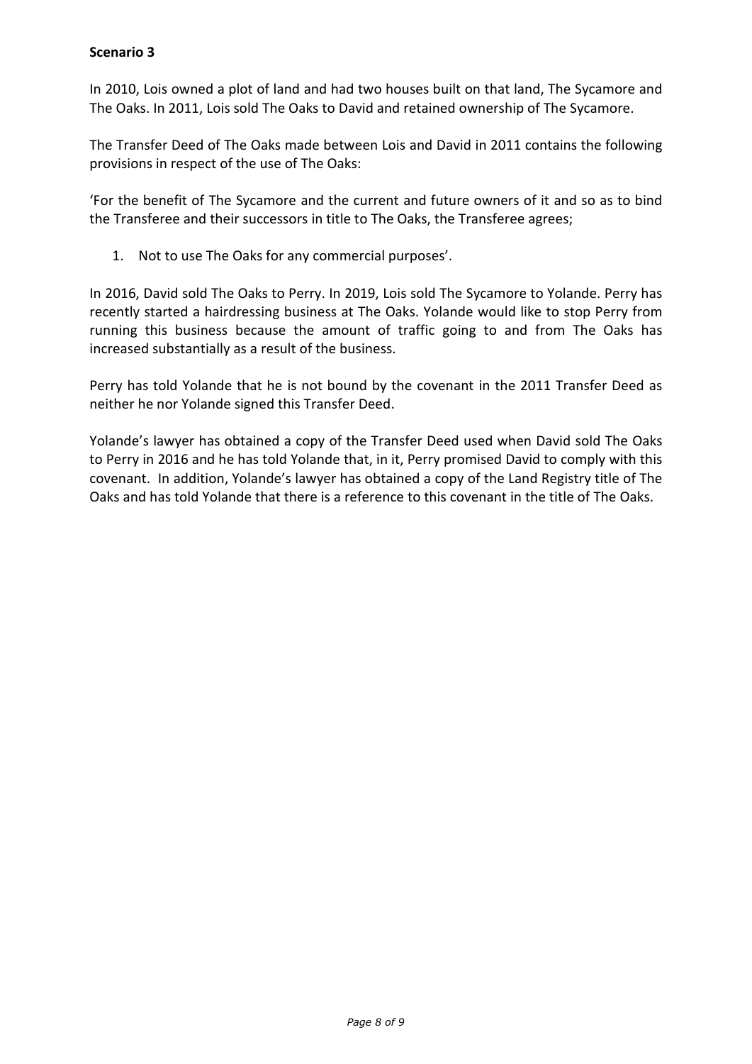### **Scenario 3**

In 2010, Lois owned a plot of land and had two houses built on that land, The Sycamore and The Oaks. In 2011, Lois sold The Oaks to David and retained ownership of The Sycamore.

The Transfer Deed of The Oaks made between Lois and David in 2011 contains the following provisions in respect of the use of The Oaks:

'For the benefit of The Sycamore and the current and future owners of it and so as to bind the Transferee and their successors in title to The Oaks, the Transferee agrees;

1. Not to use The Oaks for any commercial purposes'.

In 2016, David sold The Oaks to Perry. In 2019, Lois sold The Sycamore to Yolande. Perry has recently started a hairdressing business at The Oaks. Yolande would like to stop Perry from running this business because the amount of traffic going to and from The Oaks has increased substantially as a result of the business.

Perry has told Yolande that he is not bound by the covenant in the 2011 Transfer Deed as neither he nor Yolande signed this Transfer Deed.

Yolande's lawyer has obtained a copy of the Transfer Deed used when David sold The Oaks to Perry in 2016 and he has told Yolande that, in it, Perry promised David to comply with this covenant. In addition, Yolande's lawyer has obtained a copy of the Land Registry title of The Oaks and has told Yolande that there is a reference to this covenant in the title of The Oaks.